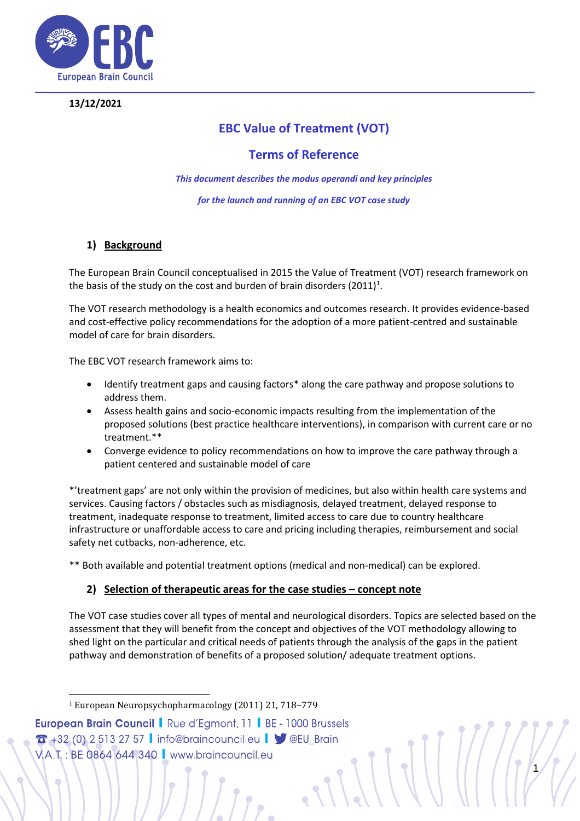

## **13/12/2021**

# **EBC Value of Treatment (VOT)**

## **Terms of Reference**

*This document describes the modus operandi and key principles*

*for the launch and running of an EBC VOT case study*

## **1) Background**

The European Brain Council conceptualised in 2015 the Value of Treatment (VOT) research framework on the basis of the study on the cost and burden of brain disorders (2011) $^1$ .

The VOT research methodology is a health economics and outcomes research. It provides evidence-based and cost-effective policy recommendations for the adoption of a more patient-centred and sustainable model of care for brain disorders.

The EBC VOT research framework aims to:

- Identify treatment gaps and causing factors\* along the care pathway and propose solutions to address them.
- Assess health gains and socio-economic impacts resulting from the implementation of the proposed solutions (best practice healthcare interventions), in comparison with current care or no treatment.\*\*
- Converge evidence to policy recommendations on how to improve the care pathway through a patient centered and sustainable model of care

\*'treatment gaps' are not only within the provision of medicines, but also within health care systems and services. Causing factors / obstacles such as misdiagnosis, delayed treatment, delayed response to treatment, inadequate response to treatment, limited access to care due to country healthcare infrastructure or unaffordable access to care and pricing including therapies, reimbursement and social safety net cutbacks, non-adherence, etc.

\*\* Both available and potential treatment options (medical and non-medical) can be explored.

## **2) Selection of therapeutic areas for the case studies – concept note**

The VOT case studies cover all types of mental and neurological disorders. Topics are selected based on the assessment that they will benefit from the concept and objectives of the VOT methodology allowing to shed light on the particular and critical needs of patients through the analysis of the gaps in the patient pathway and demonstration of benefits of a proposed solution/ adequate treatment options.

**European Brain Council | Rue d'Egmont, 11 | BE - 1000 Brussels**  $\sigma$  +32 (0) 2 513 27 57 | info@braincouncil.eu |  $\blacktriangledown$  @EU\_Brain 1 VA.T.: BE 0864 644 340 | www.braincouncil.eu

<sup>1</sup> European Neuropsychopharmacology (2011) 21, 718–779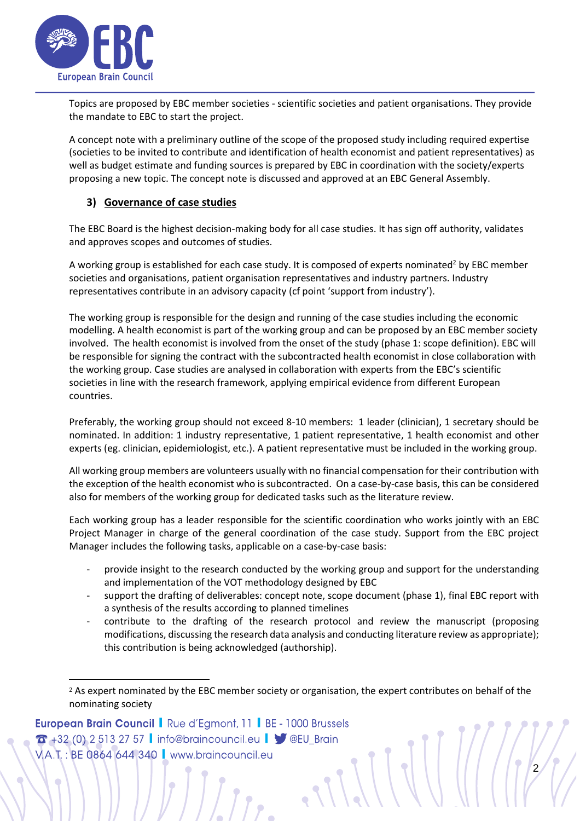

Topics are proposed by EBC member societies - scientific societies and patient organisations. They provide the mandate to EBC to start the project.

A concept note with a preliminary outline of the scope of the proposed study including required expertise (societies to be invited to contribute and identification of health economist and patient representatives) as well as budget estimate and funding sources is prepared by EBC in coordination with the society/experts proposing a new topic. The concept note is discussed and approved at an EBC General Assembly.

## **3) Governance of case studies**

The EBC Board is the highest decision-making body for all case studies. It has sign off authority, validates and approves scopes and outcomes of studies.

A working group is established for each case study. It is composed of experts nominated<sup>2</sup> by EBC member societies and organisations, patient organisation representatives and industry partners. Industry representatives contribute in an advisory capacity (cf point 'support from industry').

The working group is responsible for the design and running of the case studies including the economic modelling. A health economist is part of the working group and can be proposed by an EBC member society involved. The health economist is involved from the onset of the study (phase 1: scope definition). EBC will be responsible for signing the contract with the subcontracted health economist in close collaboration with the working group. Case studies are analysed in collaboration with experts from the EBC's scientific societies in line with the research framework, applying empirical evidence from different European countries.

Preferably, the working group should not exceed 8-10 members: 1 leader (clinician), 1 secretary should be nominated. In addition: 1 industry representative, 1 patient representative, 1 health economist and other experts (eg. clinician, epidemiologist, etc.). A patient representative must be included in the working group.

All working group members are volunteers usually with no financial compensation for their contribution with the exception of the health economist who is subcontracted. On a case-by-case basis, this can be considered also for members of the working group for dedicated tasks such as the literature review.

Each working group has a leader responsible for the scientific coordination who works jointly with an EBC Project Manager in charge of the general coordination of the case study. Support from the EBC project Manager includes the following tasks, applicable on a case-by-case basis:

- provide insight to the research conducted by the working group and support for the understanding and implementation of the VOT methodology designed by EBC
- support the drafting of deliverables: concept note, scope document (phase 1), final EBC report with a synthesis of the results according to planned timelines
- contribute to the drafting of the research protocol and review the manuscript (proposing modifications, discussing the research data analysis and conducting literature review as appropriate); this contribution is being acknowledged (authorship).

 $\frac{1}{2}$ 

**European Brain Council |** Rue d'Egmont, 11 | BE - 1000 Brussels  $T + 32$  (0) 2 513 27 57 | info@braincouncil.eu |  $\blacktriangleright$  @EU\_Brain V.A.T.: BE 0864 644 340 | www.braincouncil.eu

<sup>&</sup>lt;sup>2</sup> As expert nominated by the EBC member society or organisation, the expert contributes on behalf of the nominating society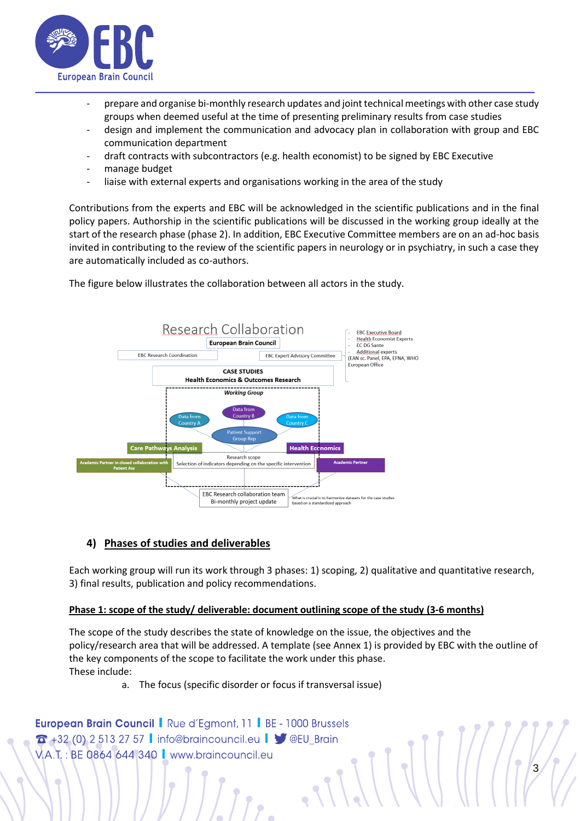

- prepare and organise bi-monthly research updates and joint technical meetings with other case study groups when deemed useful at the time of presenting preliminary results from case studies
- design and implement the communication and advocacy plan in collaboration with group and EBC communication department
- draft contracts with subcontractors (e.g. health economist) to be signed by EBC Executive
- manage budget
- liaise with external experts and organisations working in the area of the study

Contributions from the experts and EBC will be acknowledged in the scientific publications and in the final policy papers. Authorship in the scientific publications will be discussed in the working group ideally at the start of the research phase (phase 2). In addition, EBC Executive Committee members are on an ad-hoc basis invited in contributing to the review of the scientific papers in neurology or in psychiatry, in such a case they are automatically included as co-authors.

The figure below illustrates the collaboration between all actors in the study.



## **4) Phases of studies and deliverables**

Each working group will run its work through 3 phases: 1) scoping, 2) qualitative and quantitative research, 3) final results, publication and policy recommendations.

### **Phase 1: scope of the study/ deliverable: document outlining scope of the study (3-6 months)**

The scope of the study describes the state of knowledge on the issue, the objectives and the policy/research area that will be addressed. A template (see Annex 1) is provided by EBC with the outline of the key components of the scope to facilitate the work under this phase. These include:

 $\frac{1}{3}$ 

a. The focus (specific disorder or focus if transversal issue)

```
European Brain Council | Rue d'Egmont, 11 | BE - 1000 Brussels
T + 32 (0) 2 513 27 57 | info@braincouncil.eu | \sqrt{\ } @EU_Brain
V.A.T.: BE 0864 644 340 | www.braincouncil.eu
```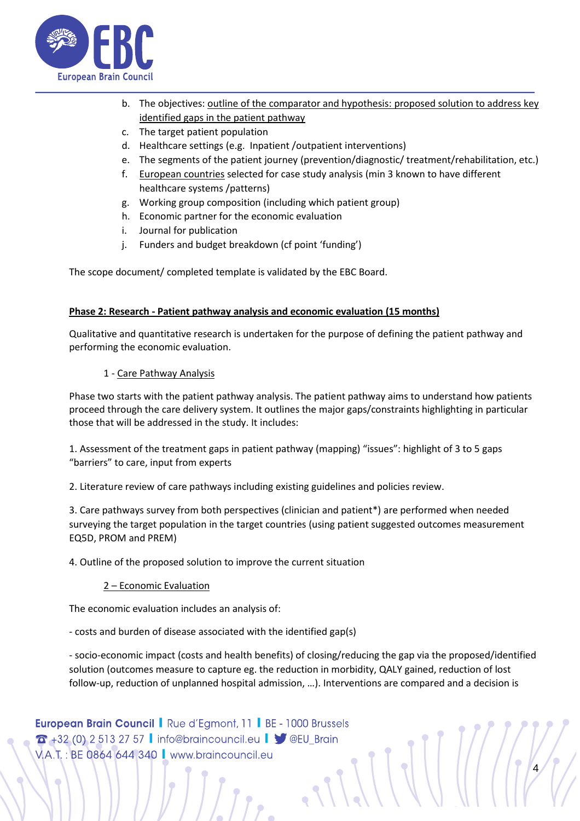

- b. The objectives: outline of the comparator and hypothesis: proposed solution to address key identified gaps in the patient pathway
- c. The target patient population
- d. Healthcare settings (e.g. Inpatient /outpatient interventions)
- e. The segments of the patient journey (prevention/diagnostic/ treatment/rehabilitation, etc.)
- f. European countries selected for case study analysis (min 3 known to have different healthcare systems /patterns)
- g. Working group composition (including which patient group)
- h. Economic partner for the economic evaluation
- i. Journal for publication
- j. Funders and budget breakdown (cf point 'funding')

The scope document/ completed template is validated by the EBC Board.

## **Phase 2: Research - Patient pathway analysis and economic evaluation (15 months)**

Qualitative and quantitative research is undertaken for the purpose of defining the patient pathway and performing the economic evaluation.

1 - Care Pathway Analysis

Phase two starts with the patient pathway analysis. The patient pathway aims to understand how patients proceed through the care delivery system. It outlines the major gaps/constraints highlighting in particular those that will be addressed in the study. It includes:

1. Assessment of the treatment gaps in patient pathway (mapping) "issues": highlight of 3 to 5 gaps "barriers" to care, input from experts

2. Literature review of care pathways including existing guidelines and policies review.

3. Care pathways survey from both perspectives (clinician and patient\*) are performed when needed surveying the target population in the target countries (using patient suggested outcomes measurement EQ5D, PROM and PREM)

4. Outline of the proposed solution to improve the current situation

### 2 – Economic Evaluation

The economic evaluation includes an analysis of:

- costs and burden of disease associated with the identified gap(s)

- socio-economic impact (costs and health benefits) of closing/reducing the gap via the proposed/identified solution (outcomes measure to capture eg. the reduction in morbidity, QALY gained, reduction of lost follow-up, reduction of unplanned hospital admission, …). Interventions are compared and a decision is

**European Brain Council | Rue d'Egmont, 11 | BE - 1000 Brussels** 4  $\sigma$  +32 (0) 2 513 27 57 | info@braincouncil.eu |  $\blacktriangleright$  @EU\_Brain V.A.T.: BE 0864 644 340 | www.braincouncil.eu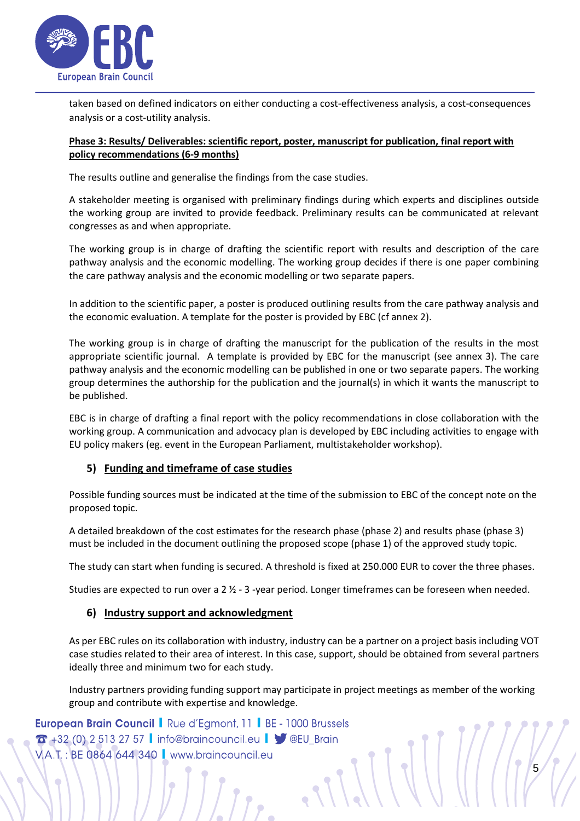

taken based on defined indicators on either conducting a cost-effectiveness analysis, a cost-consequences analysis or a cost-utility analysis.

## **Phase 3: Results/ Deliverables: scientific report, poster, manuscript for publication, final report with policy recommendations (6-9 months)**

The results outline and generalise the findings from the case studies.

A stakeholder meeting is organised with preliminary findings during which experts and disciplines outside the working group are invited to provide feedback. Preliminary results can be communicated at relevant congresses as and when appropriate.

The working group is in charge of drafting the scientific report with results and description of the care pathway analysis and the economic modelling. The working group decides if there is one paper combining the care pathway analysis and the economic modelling or two separate papers.

In addition to the scientific paper, a poster is produced outlining results from the care pathway analysis and the economic evaluation. A template for the poster is provided by EBC (cf annex 2).

The working group is in charge of drafting the manuscript for the publication of the results in the most appropriate scientific journal. A template is provided by EBC for the manuscript (see annex 3). The care pathway analysis and the economic modelling can be published in one or two separate papers. The working group determines the authorship for the publication and the journal(s) in which it wants the manuscript to be published.

EBC is in charge of drafting a final report with the policy recommendations in close collaboration with the working group. A communication and advocacy plan is developed by EBC including activities to engage with EU policy makers (eg. event in the European Parliament, multistakeholder workshop).

## **5) Funding and timeframe of case studies**

Possible funding sources must be indicated at the time of the submission to EBC of the concept note on the proposed topic.

A detailed breakdown of the cost estimates for the research phase (phase 2) and results phase (phase 3) must be included in the document outlining the proposed scope (phase 1) of the approved study topic.

The study can start when funding is secured. A threshold is fixed at 250.000 EUR to cover the three phases.

Studies are expected to run over a 2 ½ - 3 -year period. Longer timeframes can be foreseen when needed.

## **6) Industry support and acknowledgment**

As per EBC rules on its collaboration with industry, industry can be a partner on a project basis including VOT case studies related to their area of interest. In this case, support, should be obtained from several partners ideally three and minimum two for each study.

Industry partners providing funding support may participate in project meetings as member of the working group and contribute with expertise and knowledge.

 $\frac{1}{2}$ 

**European Brain Council |** Rue d'Egmont, 11 | BE - 1000 Brussels  $T + 32$  (0) 2 513 27 57 | info@braincouncil.eu |  $\blacktriangleright$  @EU\_Brain VA.T.: BE 0864 644 340 | www.braincouncil.eu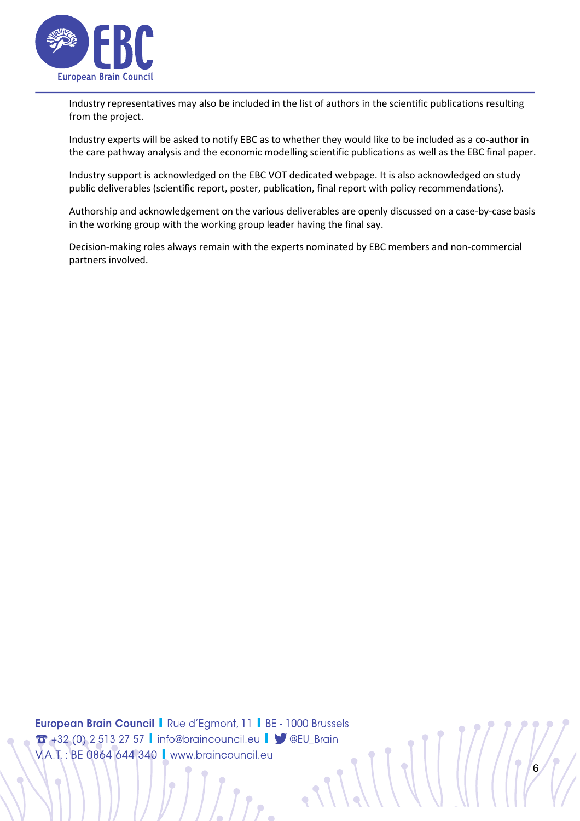

Industry representatives may also be included in the list of authors in the scientific publications resulting from the project.

Industry experts will be asked to notify EBC as to whether they would like to be included as a co-author in the care pathway analysis and the economic modelling scientific publications as well as the EBC final paper.

Industry support is acknowledged on the EBC VOT dedicated webpage. It is also acknowledged on study public deliverables (scientific report, poster, publication, final report with policy recommendations).

Authorship and acknowledgement on the various deliverables are openly discussed on a case-by-case basis in the working group with the working group leader having the final say.

Decision-making roles always remain with the experts nominated by EBC members and non-commercial partners involved.

**European Brain Council | Rue d'Egmont, 11 | BE - 1000 Brussels** 6 6 +32 (0) 2 513 27 57 | info@braincouncil.eu | 9 @EU\_Brain V.A.T.: BE 0864 644 340 | www.braincouncil.eu

Ċ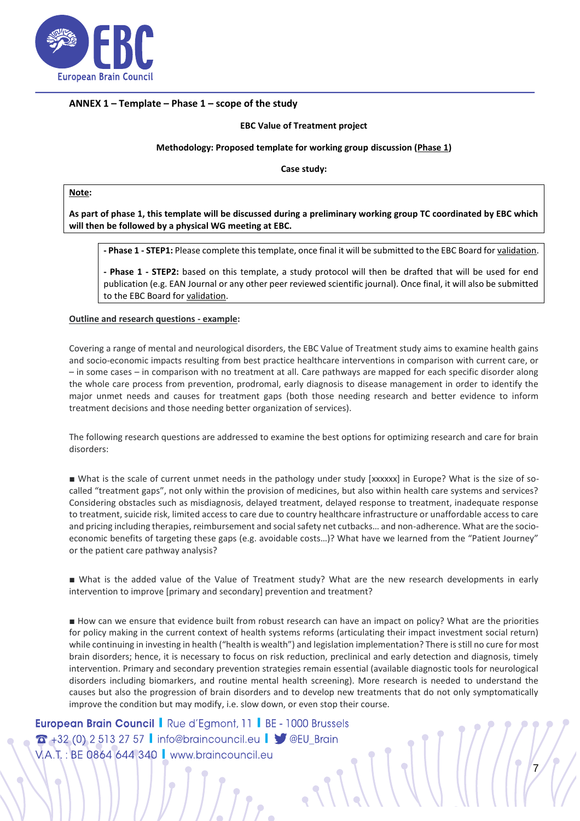

#### **ANNEX 1 – Template – Phase 1 – scope of the study**

#### **EBC Value of Treatment project**

#### **Methodology: Proposed template for working group discussion (Phase 1)**

**Case study:** 

**Note:**

**As part of phase 1, this template will be discussed during a preliminary working group TC coordinated by EBC which will then be followed by a physical WG meeting at EBC.**

**- Phase 1 - STEP1:** Please complete this template, once final it will be submitted to the EBC Board for validation.

**- Phase 1 - STEP2:** based on this template, a study protocol will then be drafted that will be used for end publication (e.g. EAN Journal or any other peer reviewed scientific journal). Once final, it will also be submitted to the EBC Board for validation.

#### **Outline and research questions - example:**

Covering a range of mental and neurological disorders, the EBC Value of Treatment study aims to examine health gains and socio-economic impacts resulting from best practice healthcare interventions in comparison with current care, or – in some cases – in comparison with no treatment at all. Care pathways are mapped for each specific disorder along the whole care process from prevention, prodromal, early diagnosis to disease management in order to identify the major unmet needs and causes for treatment gaps (both those needing research and better evidence to inform treatment decisions and those needing better organization of services).

The following research questions are addressed to examine the best options for optimizing research and care for brain disorders:

■ What is the scale of current unmet needs in the pathology under study [xxxxxx] in Europe? What is the size of socalled "treatment gaps", not only within the provision of medicines, but also within health care systems and services? Considering obstacles such as misdiagnosis, delayed treatment, delayed response to treatment, inadequate response to treatment, suicide risk, limited access to care due to country healthcare infrastructure or unaffordable access to care and pricing including therapies, reimbursement and social safety net cutbacks… and non-adherence. What are the socioeconomic benefits of targeting these gaps (e.g. avoidable costs…)? What have we learned from the "Patient Journey" or the patient care pathway analysis?

■ What is the added value of the Value of Treatment study? What are the new research developments in early intervention to improve [primary and secondary] prevention and treatment?

■ How can we ensure that evidence built from robust research can have an impact on policy? What are the priorities for policy making in the current context of health systems reforms (articulating their impact investment social return) while continuing in investing in health ("health is wealth") and legislation implementation? There is still no cure for most brain disorders; hence, it is necessary to focus on risk reduction, preclinical and early detection and diagnosis, timely intervention. Primary and secondary prevention strategies remain essential (available diagnostic tools for neurological disorders including biomarkers, and routine mental health screening). More research is needed to understand the causes but also the progression of brain disorders and to develop new treatments that do not only symptomatically improve the condition but may modify, i.e. slow down, or even stop their course.

7

**European Brain Council | Rue d'Egmont, 11 | BE - 1000 Brussels**  $T + 32$  (0) 2 513 27 57 | info@braincouncil.eu |  $\sqrt{\ }$  @EU\_Brain V.A.T.: BE 0864 644 340 | www.braincouncil.eu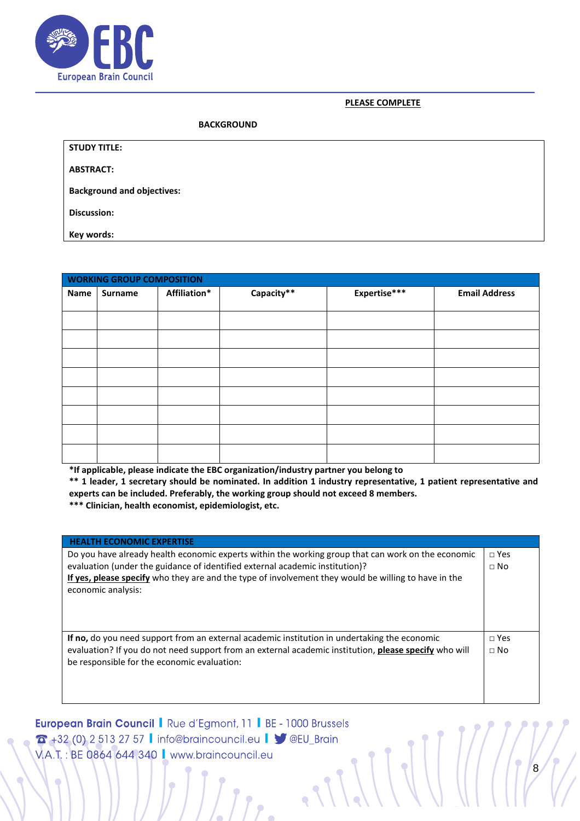

### **PLEASE COMPLETE**

#### **BACKGROUND**

| <b>STUDY TITLE:</b> |
|---------------------|
|                     |

**ABSTRACT:**

**Background and objectives:**

**Discussion:** 

**Key words:** 

 $\bigcirc$ 

| <b>WORKING GROUP COMPOSITION</b> |                |              |            |              |                      |  |  |  |
|----------------------------------|----------------|--------------|------------|--------------|----------------------|--|--|--|
| Name                             | <b>Surname</b> | Affiliation* | Capacity** | Expertise*** | <b>Email Address</b> |  |  |  |
|                                  |                |              |            |              |                      |  |  |  |
|                                  |                |              |            |              |                      |  |  |  |
|                                  |                |              |            |              |                      |  |  |  |
|                                  |                |              |            |              |                      |  |  |  |
|                                  |                |              |            |              |                      |  |  |  |
|                                  |                |              |            |              |                      |  |  |  |
|                                  |                |              |            |              |                      |  |  |  |
|                                  |                |              |            |              |                      |  |  |  |
|                                  |                |              |            |              |                      |  |  |  |

**\*If applicable, please indicate the EBC organization/industry partner you belong to**

**\*\* 1 leader, 1 secretary should be nominated. In addition 1 industry representative, 1 patient representative and experts can be included. Preferably, the working group should not exceed 8 members.** 

**\*\*\* Clinician, health economist, epidemiologist, etc.**

| <b>HEALTH ECONOMIC EXPERTISE</b>                                                                                                                                                                                                                                                                                 |                             |
|------------------------------------------------------------------------------------------------------------------------------------------------------------------------------------------------------------------------------------------------------------------------------------------------------------------|-----------------------------|
| Do you have already health economic experts within the working group that can work on the economic<br>evaluation (under the guidance of identified external academic institution)?<br>If yes, please specify who they are and the type of involvement they would be willing to have in the<br>economic analysis: | $\sqcap$ Yes<br>$\sqcap$ No |
| If no, do you need support from an external academic institution in undertaking the economic<br>evaluation? If you do not need support from an external academic institution, please specify who will<br>be responsible for the economic evaluation:                                                             | $\Box$ Yes<br>$\sqcap$ No   |

**European Brain Council | Rue d'Egmont, 11 | BE - 1000 Brussels** 8 **T** +32 (0) 2 513 27 57 l info@braincouncil.eu l ● @EU\_Brain V.A.T.: BE 0864 644 340 | www.braincouncil.eu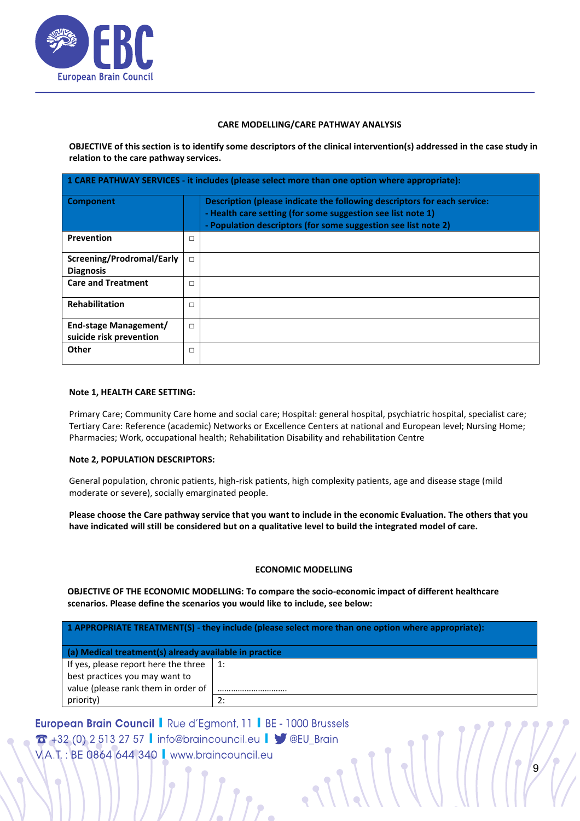

#### **CARE MODELLING/CARE PATHWAY ANALYSIS**

**OBJECTIVE of this section is to identify some descriptors of the clinical intervention(s) addressed in the case study in relation to the care pathway services.** 

| 1 CARE PATHWAY SERVICES - it includes (please select more than one option where appropriate): |        |                                                                                                                                                                                                           |  |  |  |  |
|-----------------------------------------------------------------------------------------------|--------|-----------------------------------------------------------------------------------------------------------------------------------------------------------------------------------------------------------|--|--|--|--|
| Component                                                                                     |        | Description (please indicate the following descriptors for each service:<br>- Health care setting (for some suggestion see list note 1)<br>- Population descriptors (for some suggestion see list note 2) |  |  |  |  |
| Prevention                                                                                    | □      |                                                                                                                                                                                                           |  |  |  |  |
| Screening/Prodromal/Early<br><b>Diagnosis</b>                                                 | $\Box$ |                                                                                                                                                                                                           |  |  |  |  |
| <b>Care and Treatment</b>                                                                     | $\Box$ |                                                                                                                                                                                                           |  |  |  |  |
| <b>Rehabilitation</b>                                                                         | □      |                                                                                                                                                                                                           |  |  |  |  |
| End-stage Management/<br>suicide risk prevention                                              | $\Box$ |                                                                                                                                                                                                           |  |  |  |  |
| Other                                                                                         | □      |                                                                                                                                                                                                           |  |  |  |  |

#### **Note 1, HEALTH CARE SETTING:**

Primary Care; Community Care home and social care; Hospital: general hospital, psychiatric hospital, specialist care; Tertiary Care: Reference (academic) Networks or Excellence Centers at national and European level; Nursing Home; Pharmacies; Work, occupational health; Rehabilitation Disability and rehabilitation Centre

### **Note 2, POPULATION DESCRIPTORS:**

General population, chronic patients, high-risk patients, high complexity patients, age and disease stage (mild moderate or severe), socially emarginated people.

**Please choose the Care pathway service that you want to include in the economic Evaluation. The others that you have indicated will still be considered but on a qualitative level to build the integrated model of care.** 

### **ECONOMIC MODELLING**

 $\frac{1}{2}$ 

**OBJECTIVE OF THE ECONOMIC MODELLING: To compare the socio-economic impact of different healthcare scenarios. Please define the scenarios you would like to include, see below:**

**1 APPROPRIATE TREATMENT(S) - they include (please select more than one option where appropriate):**

### **(a) Medical treatment(s) already available in practice**

If yes, please report here the three best practices you may want to value (please rank them in order of priority) 1: …………………………. 2:

**European Brain Council | Rue d'Egmont, 11 | BE - 1000 Brussels**  $\sigma$  +32 (0) 2 513 27 57 | info@braincouncil.eu |  $\blacktriangleright$  @EU\_Brain VA.T.: BE 0864 644 340 | www.braincouncil.eu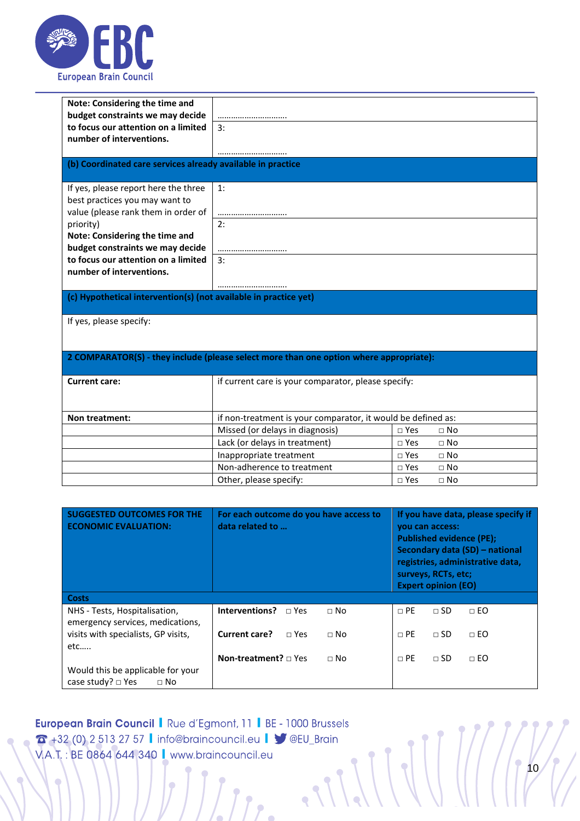

| Note: Considering the time and<br>budget constraints we may decide |                                                                                        |                           |  |  |  |  |
|--------------------------------------------------------------------|----------------------------------------------------------------------------------------|---------------------------|--|--|--|--|
| to focus our attention on a limited                                | 3:                                                                                     |                           |  |  |  |  |
| number of interventions.                                           |                                                                                        |                           |  |  |  |  |
|                                                                    |                                                                                        |                           |  |  |  |  |
| (b) Coordinated care services already available in practice        |                                                                                        |                           |  |  |  |  |
| If yes, please report here the three                               | 1:                                                                                     |                           |  |  |  |  |
| best practices you may want to                                     |                                                                                        |                           |  |  |  |  |
| value (please rank them in order of                                |                                                                                        |                           |  |  |  |  |
| priority)                                                          | 2:                                                                                     |                           |  |  |  |  |
| Note: Considering the time and<br>budget constraints we may decide |                                                                                        |                           |  |  |  |  |
| to focus our attention on a limited                                | <br>3:                                                                                 |                           |  |  |  |  |
| number of interventions.                                           |                                                                                        |                           |  |  |  |  |
|                                                                    |                                                                                        |                           |  |  |  |  |
|                                                                    | (c) Hypothetical intervention(s) (not available in practice yet)                       |                           |  |  |  |  |
|                                                                    |                                                                                        |                           |  |  |  |  |
| If yes, please specify:                                            |                                                                                        |                           |  |  |  |  |
|                                                                    |                                                                                        |                           |  |  |  |  |
|                                                                    |                                                                                        |                           |  |  |  |  |
|                                                                    | 2 COMPARATOR(S) - they include (please select more than one option where appropriate): |                           |  |  |  |  |
| <b>Current care:</b>                                               | if current care is your comparator, please specify:                                    |                           |  |  |  |  |
|                                                                    |                                                                                        |                           |  |  |  |  |
|                                                                    |                                                                                        |                           |  |  |  |  |
| Non treatment:                                                     | if non-treatment is your comparator, it would be defined as:                           |                           |  |  |  |  |
|                                                                    | Missed (or delays in diagnosis)                                                        | $\sqcap$ Yes<br>$\Box$ No |  |  |  |  |
|                                                                    | Lack (or delays in treatment)                                                          | $\Box$ Yes<br>$\Box$ No   |  |  |  |  |
|                                                                    | Inappropriate treatment                                                                | $\sqcap$ Yes<br>$\Box$ No |  |  |  |  |
|                                                                    | Non-adherence to treatment                                                             | $\Box$ Yes<br>$\Box$ No   |  |  |  |  |
|                                                                    | Other, please specify:                                                                 | $\Box$ Yes<br>$\Box$ No   |  |  |  |  |

| <b>SUGGESTED OUTCOMES FOR THE</b><br><b>ECONOMIC EVALUATION:</b>         | For each outcome do you have access to<br>data related to | If you have data, please specify if<br>you can access:<br><b>Published evidence (PE);</b><br>Secondary data (SD) - national<br>registries, administrative data,<br>surveys, RCTs, etc;<br><b>Expert opinion (EO)</b> |
|--------------------------------------------------------------------------|-----------------------------------------------------------|----------------------------------------------------------------------------------------------------------------------------------------------------------------------------------------------------------------------|
| <b>Costs</b>                                                             |                                                           |                                                                                                                                                                                                                      |
| NHS - Tests, Hospitalisation,<br>emergency services, medications,        | Interventions?<br>$\Box$ Yes<br>$\sqcap$ No               | $\sqcap$ PE<br>$\sqcap$ SD<br>$\Box$ EO                                                                                                                                                                              |
| visits with specialists, GP visits,<br>etc                               | Current care?<br>$\Box$ No<br>$\sqcap$ Yes                | $\Box$ SD<br>$\sqcap$ PE<br>$\Box$ EO                                                                                                                                                                                |
|                                                                          | <b>Non-treatment?</b> $\sqcap$ Yes<br>$\sqcap$ No         | $\sqcap$ PE<br>$\Box$ SD<br>$\Box$ EO                                                                                                                                                                                |
| Would this be applicable for your<br>case study? $\Box$ Yes<br>$\Box$ No |                                                           |                                                                                                                                                                                                                      |

**European Brain Council | Rue d'Egmont, 11 | BE - 1000 Brussels** 10 3 +32 (0) 2 513 27 57 | info@braincouncil.eu | 9 @EU\_Brain V.A.T.: BE 0864 644 340 | www.braincouncil.eu

 $l_{\bullet}$ 

 $\overline{\phantom{0}}$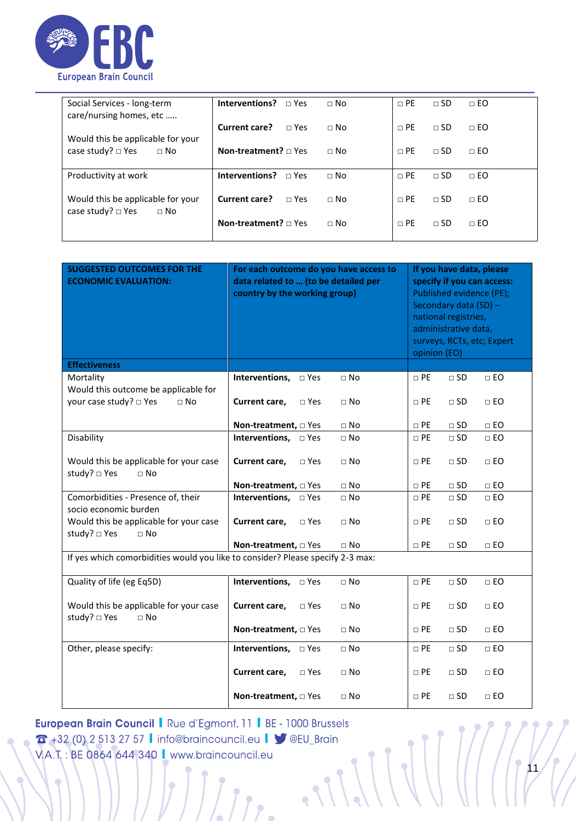

| Social Services - long-term<br>care/nursing homes, etc                     | Interventions?<br>$\sqcap$ Yes     | $\sqcap$ No | $\sqcap$ PE | $\sqcap$ SD | $\Box$ EO |
|----------------------------------------------------------------------------|------------------------------------|-------------|-------------|-------------|-----------|
|                                                                            | Current care?<br>$\Box$ Yes        | $\sqcap$ No | $\sqcap$ PF | $\sqcap$ SD | $\Box$ EO |
| Would this be applicable for your<br>case study? $\Box$ Yes<br>$\sqcap$ No | <b>Non-treatment?</b> $\sqcap$ Yes | $\sqcap$ No | $\Box$ PE   | $\sqcap$ SD | $\Box$ EO |
| Productivity at work                                                       | Interventions?<br>$\sqcap$ Yes     | $\sqcap$ No | $\Box$ PE   | $\sqcap$ SD | $\Box$ EO |
| Would this be applicable for your<br>case study? $\Box$ Yes<br>$\sqcap$ No | Current care?<br>$\sqcap$ Yes      | $\sqcap$ No | $\sqcap$ PE | $\sqcap$ SD | $\Box$ EO |
|                                                                            | <b>Non-treatment?</b> $\sqcap$ Yes | $\sqcap$ No | $\Box$ PE   | $\sqcap$ SD | $\Box$ EO |

| <b>SUGGESTED OUTCOMES FOR THE</b><br><b>ECONOMIC EVALUATION:</b>               | For each outcome do you have access to<br>data related to  (to be detailed per<br>country by the working group) |           |           | If you have data, please<br>specify if you can access:<br>Published evidence (PE);<br>Secondary data (SD) -<br>national registries,<br>administrative data,<br>surveys, RCTs, etc; Expert<br>opinion (EO) |                 |  |
|--------------------------------------------------------------------------------|-----------------------------------------------------------------------------------------------------------------|-----------|-----------|-----------------------------------------------------------------------------------------------------------------------------------------------------------------------------------------------------------|-----------------|--|
| <b>Effectiveness</b>                                                           |                                                                                                                 |           |           |                                                                                                                                                                                                           |                 |  |
| Mortality                                                                      | Interventions, $\square$ Yes                                                                                    | $\Box$ No | $\Box$ PE | $\square$ SD                                                                                                                                                                                              | $\square$<br>EO |  |
| Would this outcome be applicable for                                           |                                                                                                                 |           |           |                                                                                                                                                                                                           |                 |  |
| your case study? □ Yes<br>$\Box$ No                                            | $\square$ Yes<br>Current care,                                                                                  | $\Box$ No | $\Box$ PE | $\square$ SD                                                                                                                                                                                              | $\Box$ EO       |  |
|                                                                                |                                                                                                                 |           |           |                                                                                                                                                                                                           |                 |  |
|                                                                                | Non-treatment, $\square$ Yes                                                                                    | $\Box$ No | $\Box$ PE | $\square$ SD                                                                                                                                                                                              | $\Box$ EO       |  |
| Disability                                                                     | Interventions, <b>D</b> Yes                                                                                     | $\Box$ No | $\Box$ PE | $\square$ SD                                                                                                                                                                                              | $\square$<br>EO |  |
| Would this be applicable for your case<br>study? □ Yes<br>$\sqcap$ No          | Current care,<br>$\Box$ Yes                                                                                     | $\Box$ No | $\Box$ PE | $\square$ SD                                                                                                                                                                                              | $\Box$ EO       |  |
|                                                                                | Non-treatment, $\Box$ Yes                                                                                       | $\Box$ No | $\Box$ PE | $\square$ SD                                                                                                                                                                                              | $\Box$ EO       |  |
| Comorbidities - Presence of, their                                             |                                                                                                                 | $\Box$ No | $\Box$ PE | $\square$ SD                                                                                                                                                                                              | $\Box$ EO       |  |
| socio economic burden                                                          |                                                                                                                 |           |           |                                                                                                                                                                                                           |                 |  |
| Would this be applicable for your case                                         | Current care,<br>$\Box$ Yes                                                                                     | $\Box$ No | $\Box$ PE | $\square$ SD                                                                                                                                                                                              | $\square$<br>EO |  |
| study? □ Yes<br>$\Box$ No                                                      |                                                                                                                 |           |           |                                                                                                                                                                                                           |                 |  |
|                                                                                | Non-treatment, $\Box$ Yes                                                                                       | $\Box$ No | $\Box$ PE | $\square$ SD                                                                                                                                                                                              | $\Box$ EO       |  |
| If yes which comorbidities would you like to consider? Please specify 2-3 max: |                                                                                                                 |           |           |                                                                                                                                                                                                           |                 |  |
|                                                                                |                                                                                                                 |           |           |                                                                                                                                                                                                           |                 |  |
| Quality of life (eg Eq5D)                                                      | Interventions, <b>D</b> Yes                                                                                     | $\Box$ No | $\Box$ PE | $\square$ SD                                                                                                                                                                                              | $\square$<br>EO |  |
|                                                                                |                                                                                                                 |           |           |                                                                                                                                                                                                           |                 |  |
| Would this be applicable for your case                                         | Current care,<br>$\Box$ Yes                                                                                     | $\Box$ No | $\Box$ PE | $\square$ SD                                                                                                                                                                                              | $\Box$ EO       |  |
| study? □ Yes<br>$\sqcap$ No                                                    |                                                                                                                 |           |           |                                                                                                                                                                                                           |                 |  |
|                                                                                | Non-treatment, $\Box$ Yes                                                                                       | $\Box$ No | $\Box$ PE | $\Box$ SD                                                                                                                                                                                                 | $\Box$ EO       |  |
| Other, please specify:                                                         | Interventions, <b>D</b> Yes                                                                                     | $\Box$ No | $\Box$ PE | $\square$ SD                                                                                                                                                                                              | $\Box$ EO       |  |
|                                                                                |                                                                                                                 |           |           |                                                                                                                                                                                                           |                 |  |
|                                                                                | Current care,<br>$\square$ Yes                                                                                  | $\Box$ No | $\Box$ PE | $\square$ SD                                                                                                                                                                                              | $\Box$ EO       |  |
|                                                                                |                                                                                                                 |           |           |                                                                                                                                                                                                           |                 |  |
|                                                                                | Non-treatment, $\square$ Yes                                                                                    | $\Box$ No | $\Box$ PE | $\square$ SD                                                                                                                                                                                              | $\Box$ EO       |  |

11 **European Brain Council | Rue d'Egmont, 11 | BE - 1000 Brussels** 3 +32 (0) 2 513 27 57 | info@braincouncil.eu | 9 @EU\_Brain V.A.T.: BE 0864 644 340 | www.braincouncil.eu

 $\bigcirc$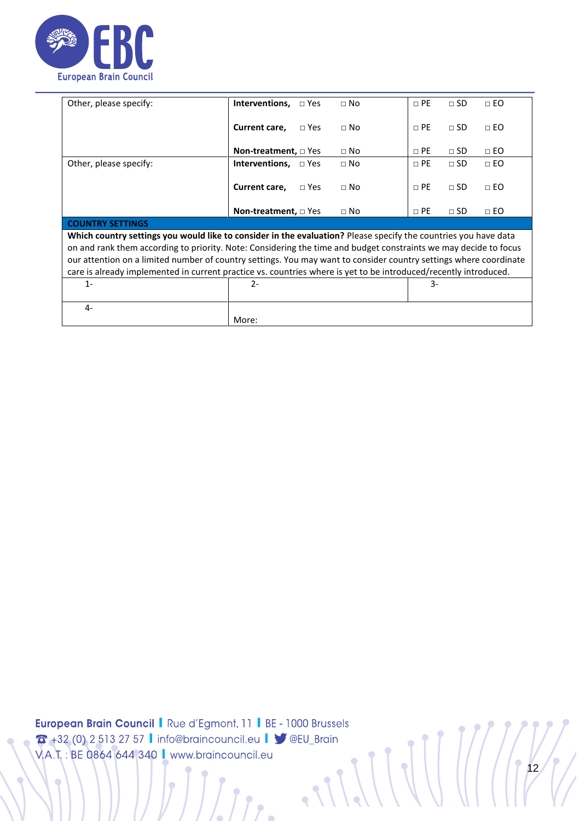

| Other, please specify:                                                                                            | <b>Interventions,</b> $\Box$ Yes |               | $\Box$ No    | $\Box$ PE | $\Box$ SD | $\Box$ EO |
|-------------------------------------------------------------------------------------------------------------------|----------------------------------|---------------|--------------|-----------|-----------|-----------|
|                                                                                                                   | Current care,                    | $\Box$ Yes    | $\Box$ No    | $\Box$ PE | $\Box$ SD | $\Box$ EO |
|                                                                                                                   | <b>Non-treatment,</b> □ Yes      |               | $\Box$ No    | $\Box$ PE | $\Box$ SD | $\Box$ EO |
| Other, please specify:                                                                                            | <b>Interventions,</b> $\Box$ Yes |               | $\Box$ No    | $\Box$ PE | $\Box$ SD | $\Box$ EO |
|                                                                                                                   | Current care,                    | $\square$ Yes | $\Box$ No    | $\Box$ PE | $\Box$ SD | $\Box$ EO |
|                                                                                                                   | <b>Non-treatment,</b> □ Yes      |               | $\square$ No | $\Box$ PE | $\Box$ SD | $\Box$ EO |
| <b>COUNTRY SETTINGS</b>                                                                                           |                                  |               |              |           |           |           |
| Which country settings you would like to consider in the evaluation? Please specify the countries you have data   |                                  |               |              |           |           |           |
| on and rank them according to priority. Note: Considering the time and budget constraints we may decide to focus  |                                  |               |              |           |           |           |
| our attention on a limited number of country settings. You may want to consider country settings where coordinate |                                  |               |              |           |           |           |
| care is already implemented in current practice vs. countries where is yet to be introduced/recently introduced.  |                                  |               |              |           |           |           |
| $1 -$                                                                                                             | $2 -$                            |               |              | 3-        |           |           |
|                                                                                                                   |                                  |               |              |           |           |           |
| $4-$                                                                                                              |                                  |               |              |           |           |           |
|                                                                                                                   | More:                            |               |              |           |           |           |

 $\bullet$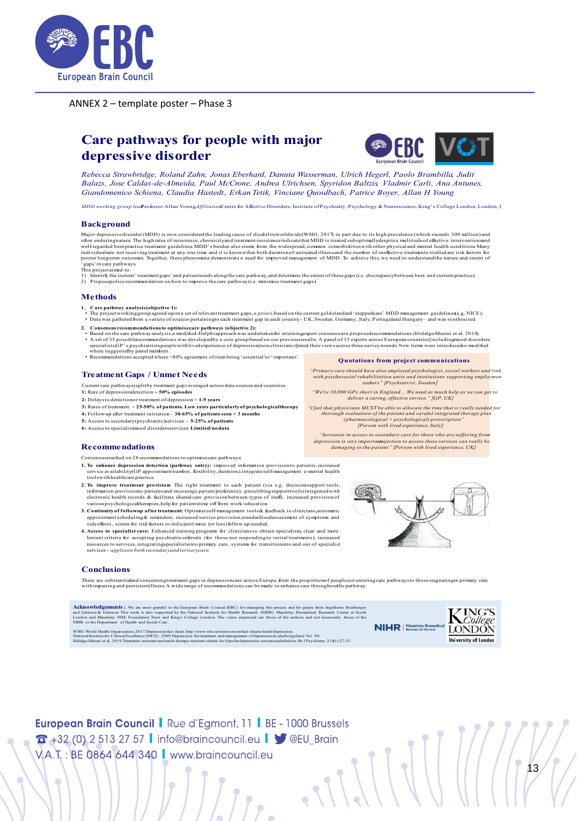

ANNEX 2 – template poster – Phase 3

# **Care pathways for people with major** depressive disorder



Rebecca Strawbridge, Roland Zahn, Jonas Eberhard, Danuta Wasserman, Ulrich Hegerl, Paolo Brambilla, Judit Balazs, Jose Caldas-de-Almeida, Paul McCrone, Andrea Ulrichsen, Spyridon Baltzis, Vladmir Carli, Ana Antunes, Giandomenico Schiena, Claudia Hastedt, Erkan Tetik, Vinciane Quoidbach, Patrice Boyer, Allan H Young

*MDD working group leal rofessor Allan YoungAffiliationCentre for Affective Disorders, Institute of Psychiatry, Psychology & Neuroscience, King's College London, London, London, 1* 

#### **Background**

M<br>of<br>w<br>in  $P \cdot T$ <br> $1 \cdot T$ <br> $2$ 

- 
- 

#### **Methods**

- 1. Care pathway analysis (objective 1):
- :
- 
- Consensus recommendations to optimisecare pathways (objective 2):<br>Based on the care pathway analysis, a modified-Delphiaproach was undertaken for attaining expert consensuson proposedrecommendations (Hidalgo Mazzei et al. . w

*min psychosociai ren*<br>s

I feel that physicians"<br>thorough evalua<br>pharn*(pharn)*<br>[]

#### **Treatment Gaps / Unmet Needs**

- Current care pathways(splitby treatment gap) averaged across data sources and countries
- 1: Rate of depression detection  $\sim$  50% episodes
- 2: Delays to detection or treatment of depression  $\sim$  1-5 years
- $3$ : Rates of treatment:  $\sim$  25-50% of patients. Low rates particularly of psychological therapy
- 4: Follow-up after treatment initiation  $\sim$  30-65% of patients seen  $\leq$  3 months
- 5: Access to secondary (psychiatric)services  $\sim$  5-25% of patients
- 6: Access to specialistmood disordersservices: Limited/nodata

#### **Recommendations**

- Consensusreached on 28 recommendations to optimisecare pathways
- tools with healthcare practice.
- 2. To improve treatment provision: The right treatment to each patient (via e.g. decision-support tools, iı<br>e<br>v
- **3. C** a side effects, screen for risk factors to indicateif more (or less) follow up needed.
- 4. Access to specialist care: Enhanced training programs for clinicians to obtain specialism, clear and more l<br>r<br>s



Quotations from project communication "Primary care should have also employed psychologist, social workers and link

*"We're 10.000 GPs short in England ... We need as much help as we can get to* deliver a caring, effective service." [GP, UK]

*depression is very importantie jection to access these services can really be*<br>damaging to the patient" [Person with lived experience, UK]

#### **Conclusions**

н

Ċ

TI<br>w

 $\bullet$ 

iom Ingelheir<br>Research Co **A** an<br>Lo NI entre at Sout<br>those of th

w



 $\frac{1}{3}$ 

**European Brain Council | Rue d'Egmont, 11 | BE - 1000 Brussels**  $\sigma$  +32 (0) 2 513 27 57 | info@braincouncil.eu |  $\blacktriangledown$  @EU\_Brain VA.T.: BE 0864 644 340 | www.braincouncil.eu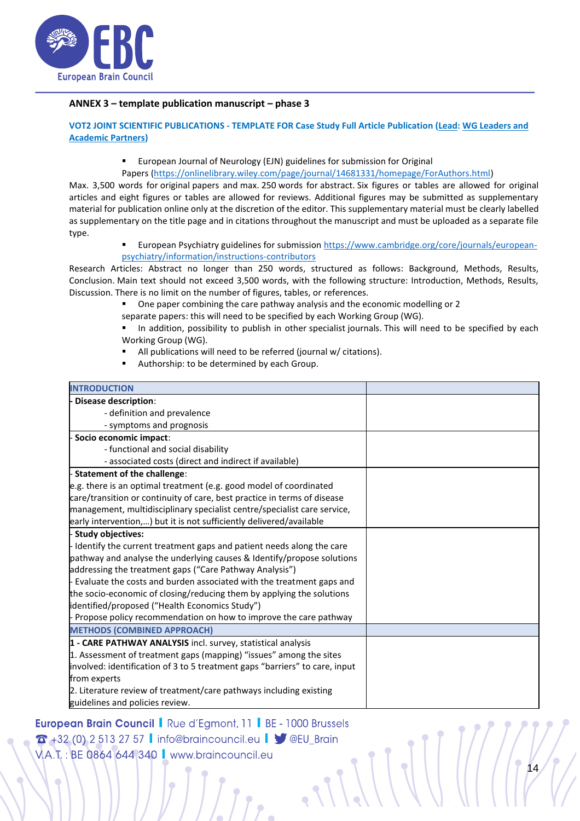

#### **ANNEX 3 – template publication manuscript – phase 3**

**VOT2 JOINT SCIENTIFIC PUBLICATIONS - TEMPLATE FOR Case Study Full Article Publication (Lead: WG Leaders and Academic Partners)**

■ European Journal of Neurology (EJN) guidelines for submission for Original

Papers [\(https://onlinelibrary.wiley.com/page/journal/14681331/homepage/ForAuthors.html\)](https://onlinelibrary.wiley.com/page/journal/14681331/homepage/ForAuthors.html)

Max. 3,500 words for original papers and max. 250 words for abstract. Six figures or tables are allowed for original articles and eight figures or tables are allowed for reviews. Additional figures may be submitted as supplementary material for publication online only at the discretion of the editor. This supplementary material must be clearly labelled as supplementary on the title page and in citations throughout the manuscript and must be uploaded as a separate file type.

> ▪ European Psychiatry guidelines for submission [https://www.cambridge.org/core/journals/european](https://www.cambridge.org/core/journals/european-psychiatry/information/instructions-contributors)[psychiatry/information/instructions-contributors](https://www.cambridge.org/core/journals/european-psychiatry/information/instructions-contributors)

Research Articles: Abstract no longer than 250 words, structured as follows: Background, Methods, Results, Conclusion. Main text should not exceed 3,500 words, with the following structure: Introduction, Methods, Results, Discussion. There is no limit on the number of figures, tables, or references.

One paper combining the care pathway analysis and the economic modelling or 2

separate papers: this will need to be specified by each Working Group (WG).

▪ In addition, possibility to publish in other specialist journals. This will need to be specified by each Working Group (WG).

- All publications will need to be referred (journal w/ citations).
- Authorship: to be determined by each Group.

| <b>INTRODUCTION</b>                                                         |  |
|-----------------------------------------------------------------------------|--|
| <b>Disease description:</b>                                                 |  |
| - definition and prevalence                                                 |  |
| - symptoms and prognosis                                                    |  |
| - Socio economic impact:                                                    |  |
| - functional and social disability                                          |  |
| - associated costs (direct and indirect if available)                       |  |
| - Statement of the challenge:                                               |  |
| e.g. there is an optimal treatment (e.g. good model of coordinated          |  |
| care/transition or continuity of care, best practice in terms of disease    |  |
| management, multidisciplinary specialist centre/specialist care service,    |  |
| early intervention,) but it is not sufficiently delivered/available         |  |
| - Study objectives:                                                         |  |
| Identify the current treatment gaps and patient needs along the care        |  |
| pathway and analyse the underlying causes & Identify/propose solutions      |  |
| addressing the treatment gaps ("Care Pathway Analysis")                     |  |
| - Evaluate the costs and burden associated with the treatment gaps and      |  |
| the socio-economic of closing/reducing them by applying the solutions       |  |
| identified/proposed ("Health Economics Study")                              |  |
| Propose policy recommendation on how to improve the care pathway            |  |
| <b>METHODS (COMBINED APPROACH)</b>                                          |  |
| 1 - CARE PATHWAY ANALYSIS incl. survey, statistical analysis                |  |
| 1. Assessment of treatment gaps (mapping) "issues" among the sites          |  |
| involved: identification of 3 to 5 treatment gaps "barriers" to care, input |  |
| from experts                                                                |  |
| 2. Literature review of treatment/care pathways including existing          |  |
| guidelines and policies review.                                             |  |

**European Brain Council | Rue d'Egmont, 11 | BE - 1000 Brussels** 14  $\sigma$  +32 (0) 2 513 27 57 | info@braincouncil.eu |  $\blacktriangleright$  @EU\_Brain V.A.T.: BE 0864 644 340 | www.braincouncil.eu

Ċ